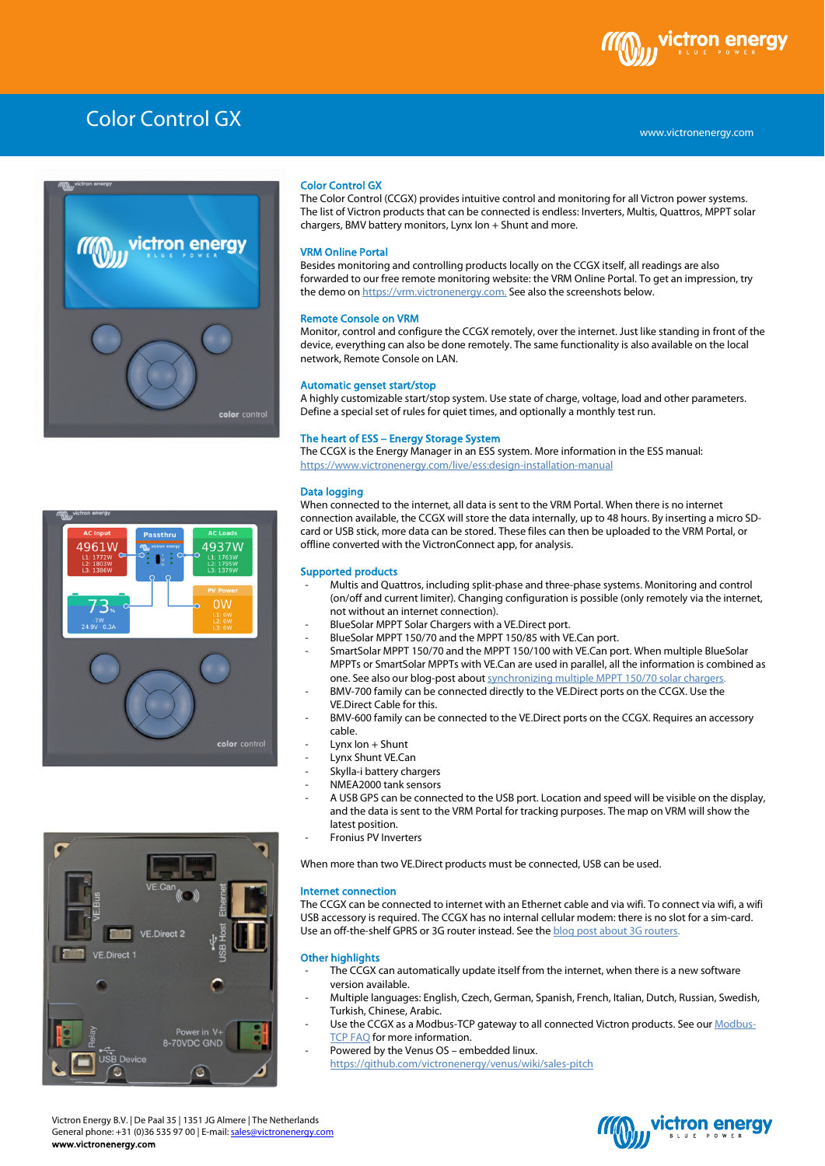



4937W

color contro

## Color Control GX

The Color Control (CCGX) provides intuitive control and monitoring for all Victron power systems. The list of Victron products that can be connected is endless: Inverters, Multis, Quattros, MPPT solar chargers, BMV battery monitors, Lynx Ion + Shunt and more.

### VRM Online Portal

Besides monitoring and controlling products locally on the CCGX itself, all readings are also forwarded to our free remote monitoring website: the VRM Online Portal. To get an impression, try the demo o[n https://vrm.victronenergy.com.](https://vrm.victronenergy.com/) See also the screenshots below.

#### Remote Console on VRM

Monitor, control and configure the CCGX remotely, over the internet. Just like standing in front of the device, everything can also be done remotely. The same functionality is also available on the local network, Remote Console on LAN.

### Automatic genset start/stop

A highly customizable start/stop system. Use state of charge, voltage, load and other parameters. Define a special set of rules for quiet times, and optionally a monthly test run.

### The heart of ESS – Energy Storage System

The CCGX is the Energy Manager in an ESS system. More information in the ESS manual: <https://www.victronenergy.com/live/ess:design-installation-manual>

### Data logging

When connected to the internet, all data is sent to the VRM Portal. When there is no internet connection available, the CCGX will store the data internally, up to 48 hours. By inserting a micro SDcard or USB stick, more data can be stored. These files can then be uploaded to the VRM Portal, or offline converted with the VictronConnect app, for analysis.

### Supported products

- Multis and Quattros, including split-phase and three-phase systems. Monitoring and control (on/off and current limiter). Changing configuration is possible (only remotely via the internet, not without an internet connection).
- BlueSolar MPPT Solar Chargers with a VE.Direct port.
- BlueSolar MPPT 150/70 and the MPPT 150/85 with VE.Can port.
- SmartSolar MPPT 150/70 and the MPPT 150/100 with VE.Can port. When multiple BlueSolar MPPTs or SmartSolar MPPTs with VE.Can are used in parallel, all the information is combined as one. See also our blog-post abou[t synchronizing multiple MPPT 150/70 solar chargers.](http://www.victronenergy.com/blog/2013/11/15/synchronizing-multiple-mppt-15070-charge-controllers-2/)
- BMV-700 family can be connected directly to the VE.Direct ports on the CCGX. Use the VE.Direct Cable for this.
- BMV-600 family can be connected to the VE.Direct ports on the CCGX. Requires an accessory cable.
- $Lynx$  Ion  $+$  Shunt
- Lynx Shunt VE.Can
- Skylla-i battery chargers
- NMEA2000 tank sensors
- A USB GPS can be connected to the USB port. Location and speed will be visible on the display, and the data is sent to the VRM Portal for tracking purposes. The map on VRM will show the latest position.
- Fronius PV Inverters

When more than two VE.Direct products must be connected, USB can be used.

#### Internet connection

The CCGX can be connected to internet with an Ethernet cable and via wifi. To connect via wifi, a wifi USB accessory is required. The CCGX has no internal cellular modem: there is no slot for a sim-card. Use an off-the-shelf GPRS or 3G router instead. See the **blog post about 3G routers**.

#### Other highlights

- The CCGX can automatically update itself from the internet, when there is a new software version available.
- Multiple languages: English, Czech, German, Spanish, French, Italian, Dutch, Russian, Swedish, Turkish, Chinese, Arabic.
- Use the CCGX as a Modbus-TCP gateway to all connected Victron products. See ou[r Modbus-](http://www.victronenergy.com/live/ccgx:modbustcp_faq)[TCP FAQ](http://www.victronenergy.com/live/ccgx:modbustcp_faq) for more information.
- Powered by the Venus OS embedded linux. <https://github.com/victronenergy/venus/wiki/sales-pitch>



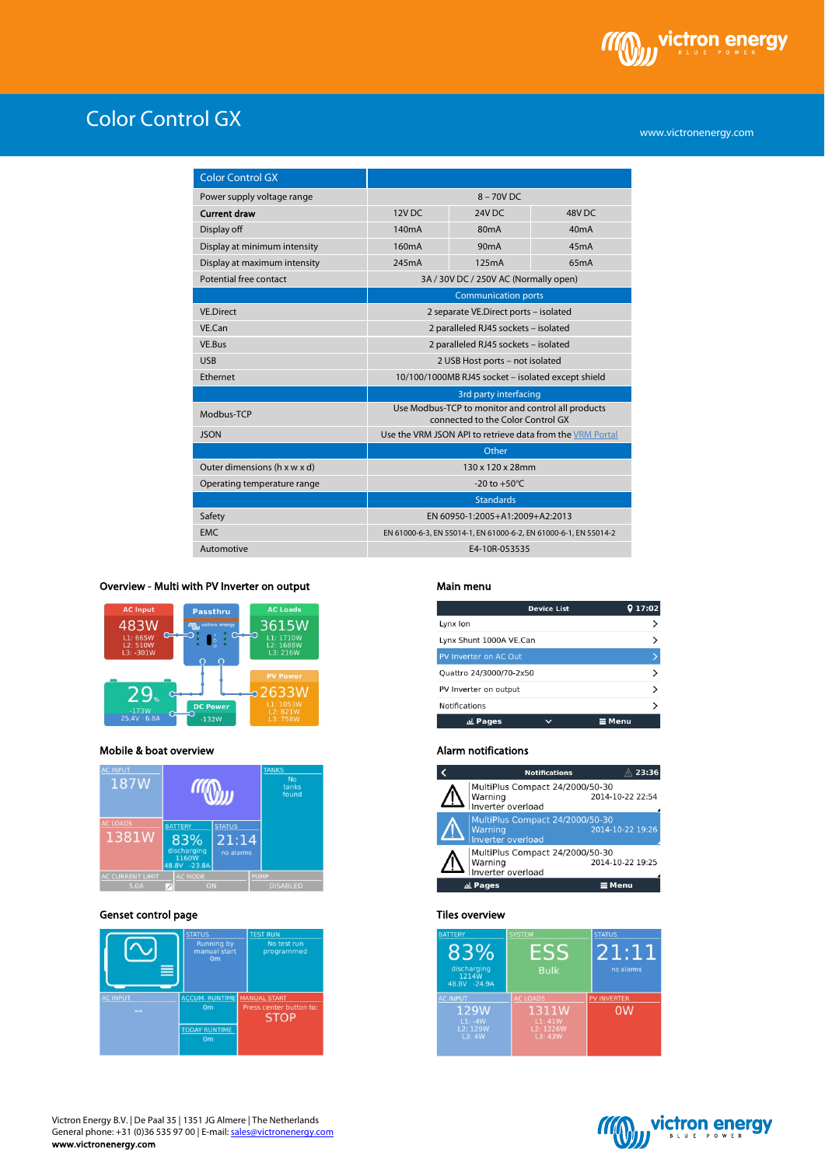

www.victronenergy.com

| <b>Color Control GX</b>      |                                                                                         |                   |                   |
|------------------------------|-----------------------------------------------------------------------------------------|-------------------|-------------------|
| Power supply voltage range   | $8 - 70V$ DC                                                                            |                   |                   |
| <b>Current draw</b>          | 12V <sub>DC</sub>                                                                       | 24V <sub>DC</sub> | 48V <sub>DC</sub> |
| Display off                  | 140 <sub>m</sub> A                                                                      | 80 <sub>m</sub> A | 40mA              |
| Display at minimum intensity | 160 <sub>m</sub> A                                                                      | 90 <sub>m</sub> A | 45mA              |
| Display at maximum intensity | 245mA                                                                                   | 125mA             | 65mA              |
| Potential free contact       | 3A / 30V DC / 250V AC (Normally open)                                                   |                   |                   |
|                              | <b>Communication ports</b>                                                              |                   |                   |
| <b>VF Direct</b>             | 2 separate VE.Direct ports - isolated                                                   |                   |                   |
| VE.Can                       | 2 paralleled RJ45 sockets - isolated                                                    |                   |                   |
| VE.Bus                       | 2 paralleled RJ45 sockets - isolated                                                    |                   |                   |
| <b>USB</b>                   | 2 USB Host ports - not isolated                                                         |                   |                   |
| Ethernet                     | 10/100/1000MB RJ45 socket - isolated except shield                                      |                   |                   |
|                              | 3rd party interfacing                                                                   |                   |                   |
| Modbus-TCP                   | Use Modbus-TCP to monitor and control all products<br>connected to the Color Control GX |                   |                   |
| <b>JSON</b>                  | Use the VRM JSON API to retrieve data from the VRM Portal                               |                   |                   |
|                              | Other                                                                                   |                   |                   |
| Outer dimensions (h x w x d) | 130 x 120 x 28mm                                                                        |                   |                   |
| Operating temperature range  | -20 to $+50^{\circ}$ C                                                                  |                   |                   |
|                              | <b>Standards</b>                                                                        |                   |                   |
| Safety                       | EN 60950-1:2005+A1:2009+A2:2013                                                         |                   |                   |
| <b>EMC</b>                   | EN 61000-6-3, EN 55014-1, EN 61000-6-2, EN 61000-6-1, EN 55014-2                        |                   |                   |
| Automotive                   | E4-10R-053535                                                                           |                   |                   |

## Overview - Multi with PV Inverter on output



## Mobile & boat overview



## Genset control page



### Main menu

|                         | <b>Device List</b> | 17:02         |
|-------------------------|--------------------|---------------|
| Lynx Ion                |                    |               |
| Lynx Shunt 1000A VE.Can |                    |               |
| PV Inverter on AC Out   |                    |               |
| Quattro 24/3000/70-2x50 |                    |               |
| PV Inverter on output   |                    |               |
| Notifications           |                    |               |
| 교 Pages                 |                    | $\equiv$ Menu |

### Alarm notifications



### Tiles overview

| <b>BATTERY</b><br>83%<br>discharging<br>1214W<br>48.8V -24.9A | <b>SYSTEM</b><br><b>Bulk</b>                              | <b>STATUS</b><br>21:11<br>no alarms  |
|---------------------------------------------------------------|-----------------------------------------------------------|--------------------------------------|
| <b>AC INPUT</b><br>129W<br>$L1: -4W$<br>L2: 129W<br>L3:4W     | <b>AC LOADS</b><br>1311W<br>L1:41W<br>L2: 1226W<br>L3:43W | <b>PV INVERTER</b><br>0 <sub>W</sub> |



I

Victron Energy B.V. | De Paal 35 | 1351 JG Almere | The Netherlands General phone: +31 (0)36 535 97 00 | E-mail: <u>sales@victronenergy.com</u> www.victronenergy.com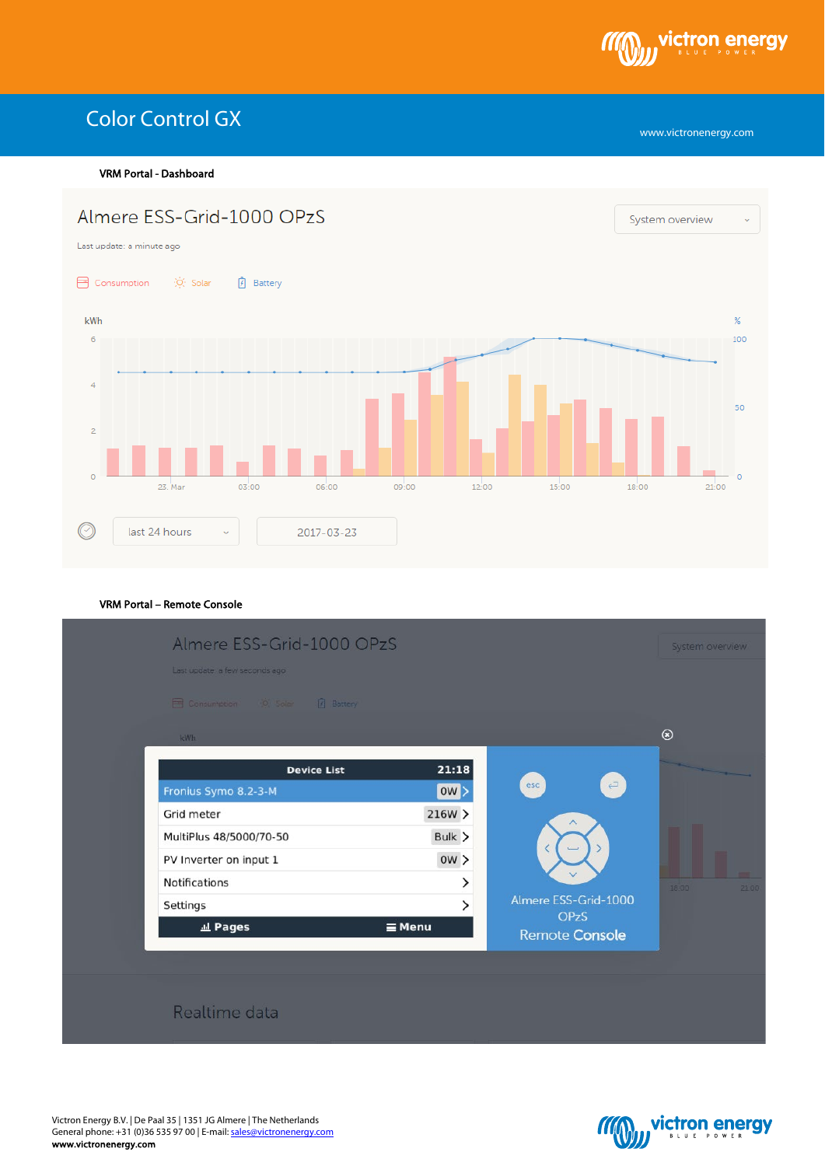

VRM Portal - Dashboard



## VRM Portal – Remote Console



Victron Energy B.V. | De Paal 35 | 1351 JG Almere | The Netherlands General phone: +31 (0)36 535 97 00 | E-mail: <u>sales@victronenergy.com</u> www.victronenergy.com



www.victronenergy.com